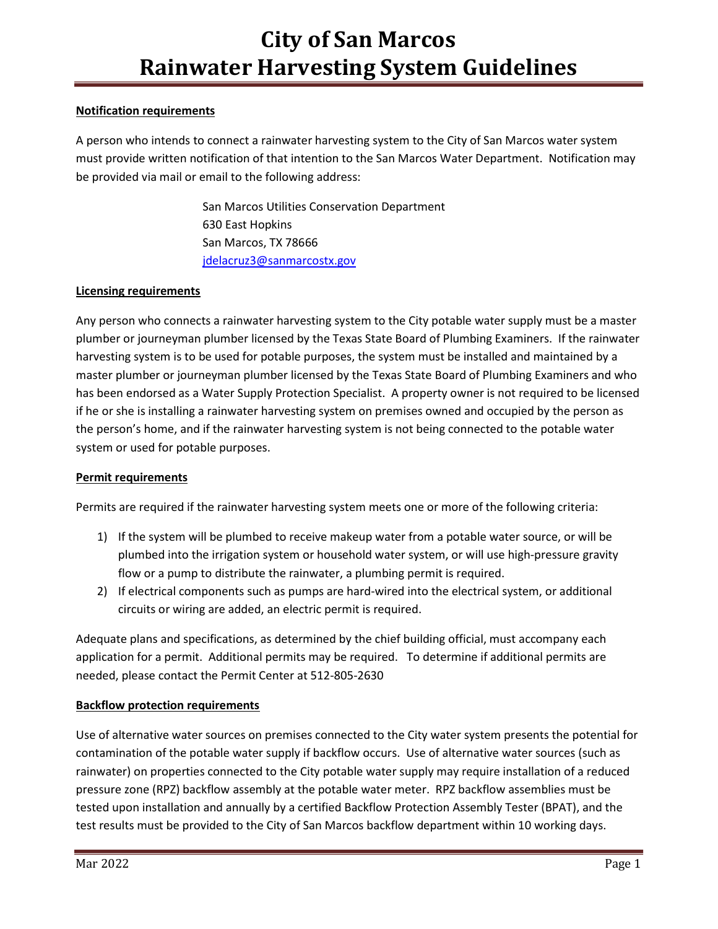## Notification requirements

A person who intends to connect a rainwater harvesting system to the City of San Marcos water system must provide written notification of that intention to the San Marcos Water Department. Notification may be provided via mail or email to the following address:

> San Marcos Utilities Conservation Department 630 East Hopkins San Marcos, TX 78666 jdelacruz3@sanmarcostx.gov

## Licensing requirements

Any person who connects a rainwater harvesting system to the City potable water supply must be a master plumber or journeyman plumber licensed by the Texas State Board of Plumbing Examiners. If the rainwater harvesting system is to be used for potable purposes, the system must be installed and maintained by a master plumber or journeyman plumber licensed by the Texas State Board of Plumbing Examiners and who has been endorsed as a Water Supply Protection Specialist. A property owner is not required to be licensed if he or she is installing a rainwater harvesting system on premises owned and occupied by the person as the person's home, and if the rainwater harvesting system is not being connected to the potable water system or used for potable purposes.

## Permit requirements

Permits are required if the rainwater harvesting system meets one or more of the following criteria:

- 1) If the system will be plumbed to receive makeup water from a potable water source, or will be plumbed into the irrigation system or household water system, or will use high-pressure gravity flow or a pump to distribute the rainwater, a plumbing permit is required.
- 2) If electrical components such as pumps are hard-wired into the electrical system, or additional circuits or wiring are added, an electric permit is required.

Adequate plans and specifications, as determined by the chief building official, must accompany each application for a permit. Additional permits may be required. To determine if additional permits are needed, please contact the Permit Center at 512-805-2630

## Backflow protection requirements

Use of alternative water sources on premises connected to the City water system presents the potential for contamination of the potable water supply if backflow occurs. Use of alternative water sources (such as rainwater) on properties connected to the City potable water supply may require installation of a reduced pressure zone (RPZ) backflow assembly at the potable water meter. RPZ backflow assemblies must be tested upon installation and annually by a certified Backflow Protection Assembly Tester (BPAT), and the test results must be provided to the City of San Marcos backflow department within 10 working days.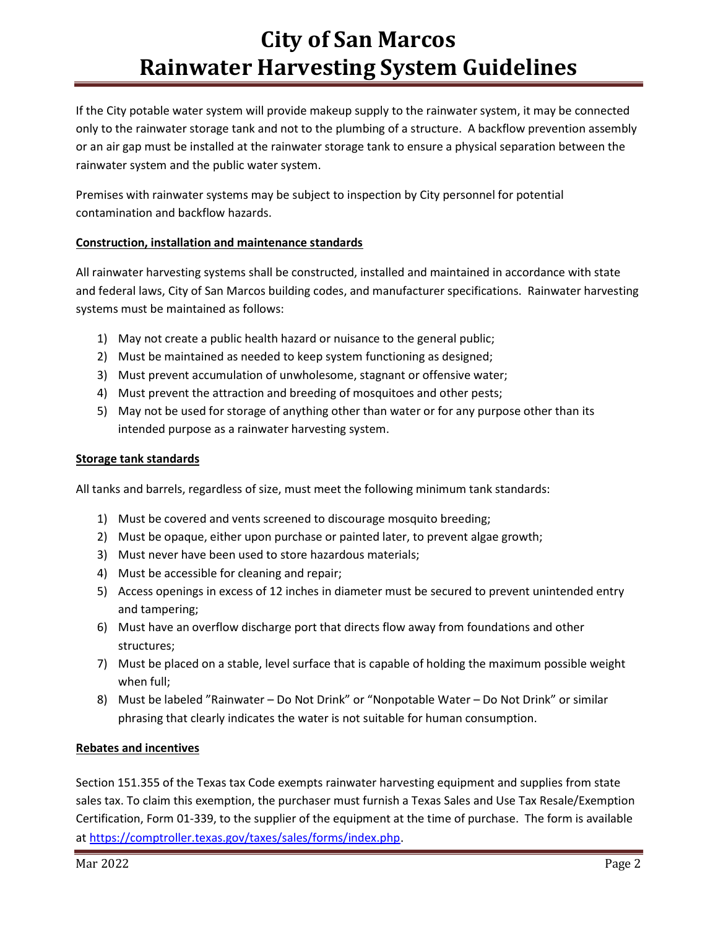# City of San Marcos Rainwater Harvesting System Guidelines

If the City potable water system will provide makeup supply to the rainwater system, it may be connected only to the rainwater storage tank and not to the plumbing of a structure. A backflow prevention assembly or an air gap must be installed at the rainwater storage tank to ensure a physical separation between the rainwater system and the public water system.

Premises with rainwater systems may be subject to inspection by City personnel for potential contamination and backflow hazards.

### Construction, installation and maintenance standards

All rainwater harvesting systems shall be constructed, installed and maintained in accordance with state and federal laws, City of San Marcos building codes, and manufacturer specifications. Rainwater harvesting systems must be maintained as follows:

- 1) May not create a public health hazard or nuisance to the general public;
- 2) Must be maintained as needed to keep system functioning as designed;
- 3) Must prevent accumulation of unwholesome, stagnant or offensive water;
- 4) Must prevent the attraction and breeding of mosquitoes and other pests;
- 5) May not be used for storage of anything other than water or for any purpose other than its intended purpose as a rainwater harvesting system.

#### Storage tank standards

All tanks and barrels, regardless of size, must meet the following minimum tank standards:

- 1) Must be covered and vents screened to discourage mosquito breeding;
- 2) Must be opaque, either upon purchase or painted later, to prevent algae growth;
- 3) Must never have been used to store hazardous materials;
- 4) Must be accessible for cleaning and repair;
- 5) Access openings in excess of 12 inches in diameter must be secured to prevent unintended entry and tampering;
- 6) Must have an overflow discharge port that directs flow away from foundations and other structures;
- 7) Must be placed on a stable, level surface that is capable of holding the maximum possible weight when full;
- 8) Must be labeled "Rainwater Do Not Drink" or "Nonpotable Water Do Not Drink" or similar phrasing that clearly indicates the water is not suitable for human consumption.

#### Rebates and incentives

Section 151.355 of the Texas tax Code exempts rainwater harvesting equipment and supplies from state sales tax. To claim this exemption, the purchaser must furnish a Texas Sales and Use Tax Resale/Exemption Certification, Form 01-339, to the supplier of the equipment at the time of purchase. The form is available at https://comptroller.texas.gov/taxes/sales/forms/index.php.